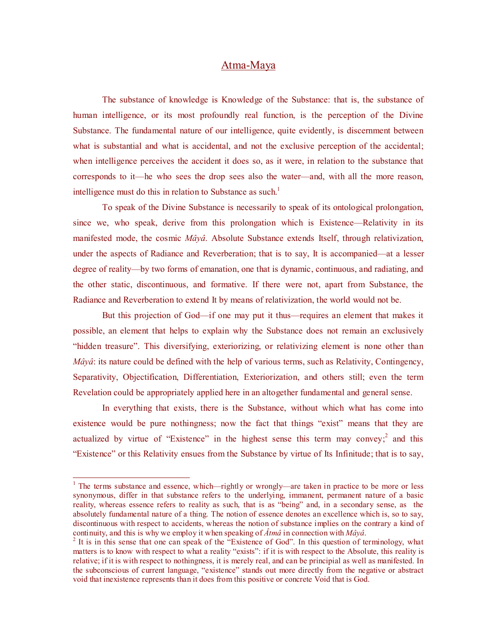The substance of knowledge is Knowledge of the Substance: that is, the substance of human intelligence, or its most profoundly real function, is the perception of the Divine Substance. The fundamental nature of our intelligence, quite evidently, is discernment between what is substantial and what is accidental, and not the exclusive perception of the accidental; when intelligence perceives the accident it does so, as it were, in relation to the substance that corresponds to it—he who sees the drop sees also the water—and, with all the more reason, intelligence must do this in relation to Substance as such.<sup>1</sup>

 To speak of the Divine Substance is necessarily to speak of its ontological prolongation, since we, who speak, derive from this prolongation which is Existence—Relativity in its manifested mode, the cosmic *Mâyâ*. Absolute Substance extends Itself, through relativization, under the aspects of Radiance and Reverberation; that is to say, It is accompanied—at a lesser degree of reality—by two forms of emanation, one that is dynamic, continuous, and radiating, and the other static, discontinuous, and formative. If there were not, apart from Substance, the Radiance and Reverberation to extend It by means of relativization, the world would not be.

 But this projection of God—if one may put it thus—requires an element that makes it possible, an element that helps to explain why the Substance does not remain an exclusively "hidden treasure". This diversifying, exteriorizing, or relativizing element is none other than *Mâyâ*: its nature could be defined with the help of various terms, such as Relativity, Contingency, Separativity, Objectification, Differentiation, Exteriorization, and others still; even the term Revelation could be appropriately applied here in an altogether fundamental and general sense.

 In everything that exists, there is the Substance, without which what has come into existence would be pure nothingness; now the fact that things "exist" means that they are actualized by virtue of "Existence" in the highest sense this term may convey; and this "Existence" or this Relativity ensues from the Substance by virtue of Its Infinitude; that is to say,

 $\overline{\phantom{a}}$ 

<sup>&</sup>lt;sup>1</sup> The terms substance and essence, which—rightly or wrongly—are taken in practice to be more or less synonymous, differ in that substance refers to the underlying, immanent, permanent nature of a basic reality, whereas essence refers to reality as such, that is as "being" and, in a secondary sense, as the absolutely fundamental nature of a thing. The notion of essence denotes an excellence which is, so to say, discontinuous with respect to accidents, whereas the notion of substance implies on the contrary a kind of continuity, and this is why we employ it when speaking of  $\hat{A}$ tmâ in connection with  $M \hat{a}$ yâ.

<sup>&</sup>lt;sup>2</sup> It is in this sense that one can speak of the "Existence of God". In this question of terminology, what matters is to know with respect to what a reality "exists": if it is with respect to the Absolute, this reality is relative; if it is with respect to nothingness, it is merely real, and can be principial as well as manifested. In the subconscious of current language, "existence" stands out more directly from the negative or abstract void that inexistence represents than it does from this positive or concrete Void that is God.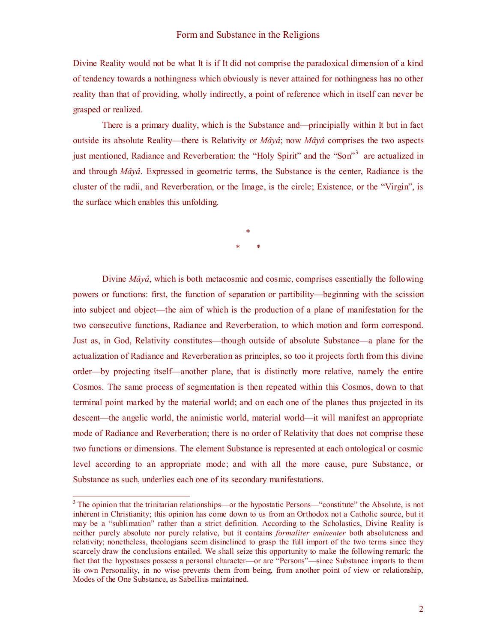Divine Reality would not be what It is if It did not comprise the paradoxical dimension of a kind of tendency towards a nothingness which obviously is never attained for nothingness has no other reality than that of providing, wholly indirectly, a point of reference which in itself can never be grasped or realized.

 There is a primary duality, which is the Substance and—principially within It but in fact outside its absolute Reality—there is Relativity or *Mâyâ*; now *Mâyâ* comprises the two aspects just mentioned, Radiance and Reverberation: the "Holy Spirit" and the "Son"<sup>3</sup> are actualized in and through *Mâyâ*. Expressed in geometric terms, the Substance is the center, Radiance is the cluster of the radii, and Reverberation, or the Image, is the circle; Existence, or the "Virgin", is the surface which enables this unfolding.

> \* \* \*

Divine *Mâyâ*, which is both metacosmic and cosmic, comprises essentially the following powers or functions: first, the function of separation or partibility—beginning with the scission into subject and object—the aim of which is the production of a plane of manifestation for the two consecutive functions, Radiance and Reverberation, to which motion and form correspond. Just as, in God, Relativity constitutes—though outside of absolute Substance—a plane for the actualization of Radiance and Reverberation as principles, so too it projects forth from this divine order—by projecting itself—another plane, that is distinctly more relative, namely the entire Cosmos. The same process of segmentation is then repeated within this Cosmos, down to that terminal point marked by the material world; and on each one of the planes thus projected in its descent—the angelic world, the animistic world, material world—it will manifest an appropriate mode of Radiance and Reverberation; there is no order of Relativity that does not comprise these two functions or dimensions. The element Substance is represented at each ontological or cosmic level according to an appropriate mode; and with all the more cause, pure Substance, or Substance as such, underlies each one of its secondary manifestations.

<sup>&</sup>lt;sup>3</sup> The opinion that the trinitarian relationships—or the hypostatic Persons—"constitute" the Absolute, is not inherent in Christianity; this opinion has come down to us from an Orthodox not a Catholic source, but it may be a "sublimation" rather than a strict definition. According to the Scholastics, Divine Reality is neither purely absolute nor purely relative, but it contains *formaliter eminenter* both absoluteness and relativity; nonetheless, theologians seem disinclined to grasp the full import of the two terms since they scarcely draw the conclusions entailed. We shall seize this opportunity to make the following remark: the fact that the hypostases possess a personal character—or are "Persons"—since Substance imparts to them its own Personality, in no wise prevents them from being, from another point of view or relationship, Modes of the One Substance, as Sabellius maintained.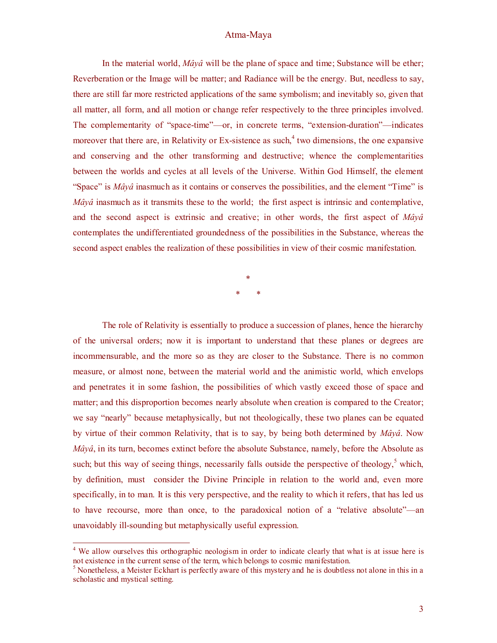In the material world, *Mâyâ* will be the plane of space and time; Substance will be ether; Reverberation or the Image will be matter; and Radiance will be the energy. But, needless to say, there are still far more restricted applications of the same symbolism; and inevitably so, given that all matter, all form, and all motion or change refer respectively to the three principles involved. The complementarity of "space-time"—or, in concrete terms, "extension-duration"—indicates moreover that there are, in Relativity or Ex-sistence as such,<sup>4</sup> two dimensions, the one expansive and conserving and the other transforming and destructive; whence the complementarities between the worlds and cycles at all levels of the Universe. Within God Himself, the element "Space" is *Mâyâ* inasmuch as it contains or conserves the possibilities, and the element "Time" is *Mâyâ* inasmuch as it transmits these to the world; the first aspect is intrinsic and contemplative, and the second aspect is extrinsic and creative; in other words, the first aspect of *Mâyâ* contemplates the undifferentiated groundedness of the possibilities in the Substance, whereas the second aspect enables the realization of these possibilities in view of their cosmic manifestation.

> \* \* \*

The role of Relativity is essentially to produce a succession of planes, hence the hierarchy of the universal orders; now it is important to understand that these planes or degrees are incommensurable, and the more so as they are closer to the Substance. There is no common measure, or almost none, between the material world and the animistic world, which envelops and penetrates it in some fashion, the possibilities of which vastly exceed those of space and matter; and this disproportion becomes nearly absolute when creation is compared to the Creator; we say "nearly" because metaphysically, but not theologically, these two planes can be equated by virtue of their common Relativity, that is to say, by being both determined by *Mâyâ*. Now *Mâyâ*, in its turn, becomes extinct before the absolute Substance, namely, before the Absolute as such; but this way of seeing things, necessarily falls outside the perspective of theology,<sup>5</sup> which, by definition, must consider the Divine Principle in relation to the world and, even more specifically, in to man. It is this very perspective, and the reality to which it refers, that has led us to have recourse, more than once, to the paradoxical notion of a "relative absolute"—an unavoidably ill-sounding but metaphysically useful expression.

 $\overline{a}$ 

<sup>&</sup>lt;sup>4</sup> We allow ourselves this orthographic neologism in order to indicate clearly that what is at issue here is not existence in the current sense of the term, which belongs to cosmic manifestation.

<sup>&</sup>lt;sup>5</sup> Nonetheless, a Meister Eckhart is perfectly aware of this mystery and he is doubtless not alone in this in a scholastic and mystical setting.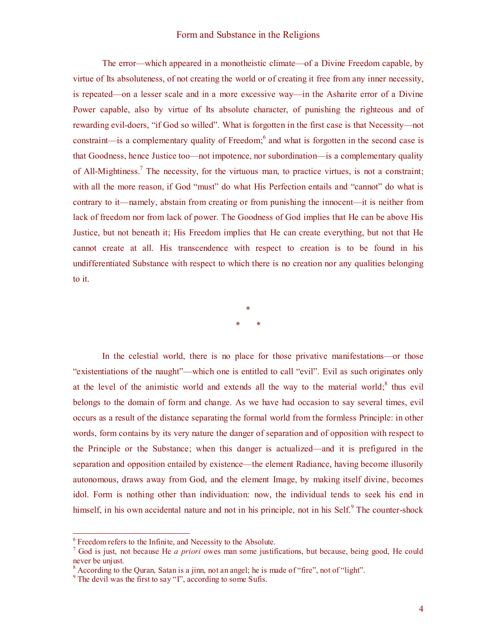### Form and Substance in the Religions

The error—which appeared in a monotheistic climate—of a Divine Freedom capable, by virtue of Its absoluteness, of not creating the world or of creating it free from any inner necessity, is repeated—on a lesser scale and in a more excessive way—in the Asharite error of a Divine Power capable, also by virtue of Its absolute character, of punishing the righteous and of rewarding evil-doers, "if God so willed". What is forgotten in the first case is that Necessity—not constraint—is a complementary quality of Freedom; $<sup>6</sup>$  and what is forgotten in the second case is</sup> that Goodness, hence Justice too—not impotence, nor subordination—is a complementary quality of All-Mightiness.<sup>7</sup> The necessity, for the virtuous man, to practice virtues, is not a constraint; with all the more reason, if God "must" do what His Perfection entails and "cannot" do what is contrary to it—namely, abstain from creating or from punishing the innocent—it is neither from lack of freedom nor from lack of power. The Goodness of God implies that He can be above His Justice, but not beneath it; His Freedom implies that He can create everything, but not that He cannot create at all. His transcendence with respect to creation is to be found in his undifferentiated Substance with respect to which there is no creation nor any qualities belonging to it.



In the celestial world, there is no place for those privative manifestations—or those "existentiations of the naught"—which one is entitled to call "evil". Evil as such originates only at the level of the animistic world and extends all the way to the material world; $<sup>8</sup>$  thus evil</sup> belongs to the domain of form and change. As we have had occasion to say several times, evil occurs as a result of the distance separating the formal world from the formless Principle: in other words, form contains by its very nature the danger of separation and of opposition with respect to the Principle or the Substance; when this danger is actualized—and it is prefigured in the separation and opposition entailed by existence—the element Radiance, having become illusorily autonomous, draws away from God, and the element Image, by making itself divine, becomes idol. Form is nothing other than individuation: now, the individual tends to seek his end in himself, in his own accidental nature and not in his principle, not in his Self.<sup>9</sup> The counter-shock

 $\overline{\phantom{a}}$ 

<sup>6</sup> Freedom refers to the Infinite, and Necessity to the Absolute.

<sup>7</sup> God is just, not because He *a priori* owes man some justifications, but because, being good, He could never be unjust.

<sup>&</sup>lt;sup>8</sup> According to the Quran, Satan is a jinn, not an angel; he is made of "fire", not of "light".

<sup>&</sup>lt;sup>9</sup> The devil was the first to say "I", according to some Sufis.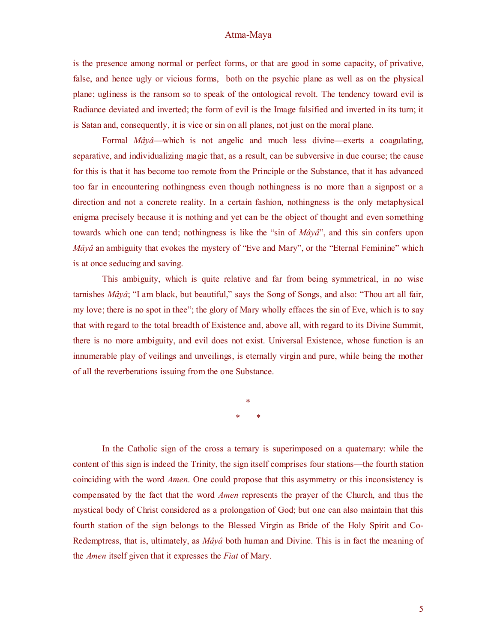is the presence among normal or perfect forms, or that are good in some capacity, of privative, false, and hence ugly or vicious forms, both on the psychic plane as well as on the physical plane; ugliness is the ransom so to speak of the ontological revolt. The tendency toward evil is Radiance deviated and inverted; the form of evil is the Image falsified and inverted in its turn; it is Satan and, consequently, it is vice or sin on all planes, not just on the moral plane.

Formal *Mâyâ*—which is not angelic and much less divine—exerts a coagulating, separative, and individualizing magic that, as a result, can be subversive in due course; the cause for this is that it has become too remote from the Principle or the Substance, that it has advanced too far in encountering nothingness even though nothingness is no more than a signpost or a direction and not a concrete reality. In a certain fashion, nothingness is the only metaphysical enigma precisely because it is nothing and yet can be the object of thought and even something towards which one can tend; nothingness is like the "sin of *Mâyâ*", and this sin confers upon *Mâyâ* an ambiguity that evokes the mystery of "Eve and Mary", or the "Eternal Feminine" which is at once seducing and saving.

This ambiguity, which is quite relative and far from being symmetrical, in no wise tarnishes *Mâyâ*; "I am black, but beautiful," says the Song of Songs, and also: "Thou art all fair, my love; there is no spot in thee"; the glory of Mary wholly effaces the sin of Eve, which is to say that with regard to the total breadth of Existence and, above all, with regard to its Divine Summit, there is no more ambiguity, and evil does not exist. Universal Existence, whose function is an innumerable play of veilings and unveilings, is eternally virgin and pure, while being the mother of all the reverberations issuing from the one Substance.

> \* \* \*

 In the Catholic sign of the cross a ternary is superimposed on a quaternary: while the content of this sign is indeed the Trinity, the sign itself comprises four stations—the fourth station coinciding with the word *Amen*. One could propose that this asymmetry or this inconsistency is compensated by the fact that the word *Amen* represents the prayer of the Church, and thus the mystical body of Christ considered as a prolongation of God; but one can also maintain that this fourth station of the sign belongs to the Blessed Virgin as Bride of the Holy Spirit and Co-Redemptress, that is, ultimately, as *Mâyâ* both human and Divine. This is in fact the meaning of the *Amen* itself given that it expresses the *Fiat* of Mary.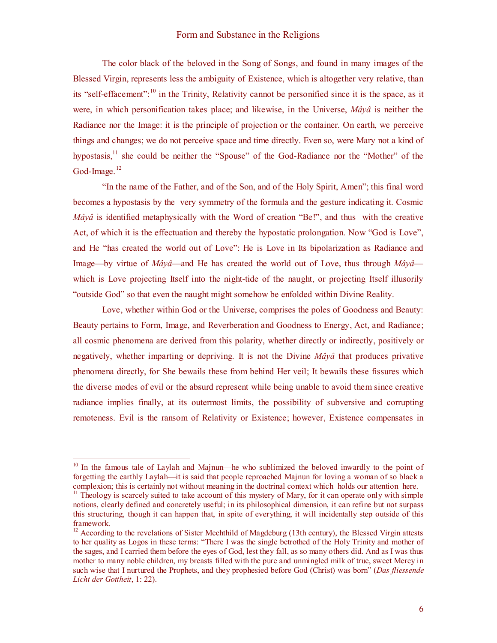### Form and Substance in the Religions

 The color black of the beloved in the Song of Songs, and found in many images of the Blessed Virgin, represents less the ambiguity of Existence, which is altogether very relative, than its "self-effacement":<sup>10</sup> in the Trinity, Relativity cannot be personified since it is the space, as it were, in which personification takes place; and likewise, in the Universe, *Mâyâ* is neither the Radiance nor the Image: it is the principle of projection or the container. On earth, we perceive things and changes; we do not perceive space and time directly. Even so, were Mary not a kind of hypostasis,<sup>11</sup> she could be neither the "Spouse" of the God-Radiance nor the "Mother" of the God-Image.<sup>12</sup>

 "In the name of the Father, and of the Son, and of the Holy Spirit, Amen"; this final word becomes a hypostasis by the very symmetry of the formula and the gesture indicating it. Cosmic *Mâyâ* is identified metaphysically with the Word of creation "Be!", and thus with the creative Act, of which it is the effectuation and thereby the hypostatic prolongation. Now "God is Love", and He "has created the world out of Love": He is Love in Its bipolarization as Radiance and Image—by virtue of *Mâyâ*—and He has created the world out of Love, thus through *Mâyâ* which is Love projecting Itself into the night-tide of the naught, or projecting Itself illusorily "outside God" so that even the naught might somehow be enfolded within Divine Reality.

 Love, whether within God or the Universe, comprises the poles of Goodness and Beauty: Beauty pertains to Form, Image, and Reverberation and Goodness to Energy, Act, and Radiance; all cosmic phenomena are derived from this polarity, whether directly or indirectly, positively or negatively, whether imparting or depriving. It is not the Divine *Mâyâ* that produces privative phenomena directly, for She bewails these from behind Her veil; It bewails these fissures which the diverse modes of evil or the absurd represent while being unable to avoid them since creative radiance implies finally, at its outermost limits, the possibility of subversive and corrupting remoteness. Evil is the ransom of Relativity or Existence; however, Existence compensates in

-

<sup>&</sup>lt;sup>10</sup> In the famous tale of Laylah and Majnun—he who sublimized the beloved inwardly to the point of forgetting the earthly Laylah—it is said that people reproached Majnun for loving a woman of so black a complexion; this is certainly not without meaning in the doctrinal context which holds our attention here.

 $11$  Theology is scarcely suited to take account of this mystery of Mary, for it can operate only with simple notions, clearly defined and concretely useful; in its philosophical dimension, it can refine but not surpass this structuring, though it can happen that, in spite of everything, it will incidentally step outside of this framework.

<sup>&</sup>lt;sup>12</sup> According to the revelations of Sister Mechthild of Magdeburg (13th century), the Blessed Virgin attests to her quality as Logos in these terms: "There I was the single betrothed of the Holy Trinity and mother of the sages, and I carried them before the eyes of God, lest they fall, as so many others did. And as I was thus mother to many noble children, my breasts filled with the pure and unmingled milk of true, sweet Mercy in such wise that I nurtured the Prophets, and they prophesied before God (Christ) was born" (*Das fliessende Licht der Gottheit*, 1: 22).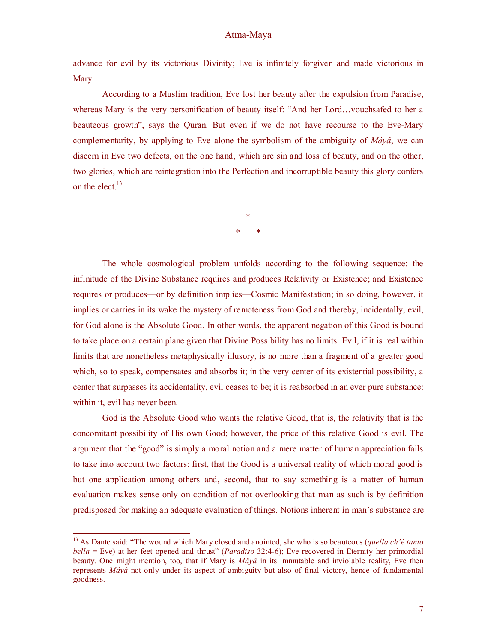advance for evil by its victorious Divinity; Eve is infinitely forgiven and made victorious in Mary.

 According to a Muslim tradition, Eve lost her beauty after the expulsion from Paradise, whereas Mary is the very personification of beauty itself: "And her Lord…vouchsafed to her a beauteous growth", says the Quran. But even if we do not have recourse to the Eve-Mary complementarity, by applying to Eve alone the symbolism of the ambiguity of *Mâyâ*, we can discern in Eve two defects, on the one hand, which are sin and loss of beauty, and on the other, two glories, which are reintegration into the Perfection and incorruptible beauty this glory confers on the elect. $^{13}$ 



 The whole cosmological problem unfolds according to the following sequence: the infinitude of the Divine Substance requires and produces Relativity or Existence; and Existence requires or produces—or by definition implies—Cosmic Manifestation; in so doing, however, it implies or carries in its wake the mystery of remoteness from God and thereby, incidentally, evil, for God alone is the Absolute Good. In other words, the apparent negation of this Good is bound to take place on a certain plane given that Divine Possibility has no limits. Evil, if it is real within limits that are nonetheless metaphysically illusory, is no more than a fragment of a greater good which, so to speak, compensates and absorbs it; in the very center of its existential possibility, a center that surpasses its accidentality, evil ceases to be; it is reabsorbed in an ever pure substance: within it, evil has never been.

 God is the Absolute Good who wants the relative Good, that is, the relativity that is the concomitant possibility of His own Good; however, the price of this relative Good is evil. The argument that the "good" is simply a moral notion and a mere matter of human appreciation fails to take into account two factors: first, that the Good is a universal reality of which moral good is but one application among others and, second, that to say something is a matter of human evaluation makes sense only on condition of not overlooking that man as such is by definition predisposed for making an adequate evaluation of things. Notions inherent in man's substance are

1

<sup>13</sup> As Dante said: "The wound which Mary closed and anointed, she who is so beauteous (*quella ch'è tanto bella* = Eve) at her feet opened and thrust" (*Paradiso* 32:4-6); Eve recovered in Eternity her primordial beauty. One might mention, too, that if Mary is *Mâyâ* in its immutable and inviolable reality, Eve then represents *Mâyâ* not only under its aspect of ambiguity but also of final victory, hence of fundamental goodness.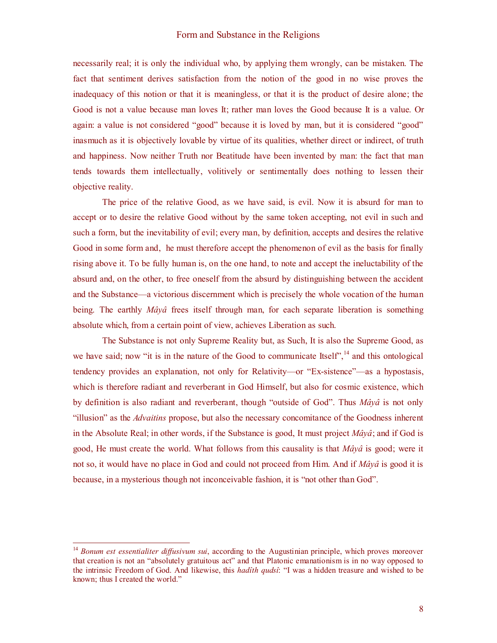### Form and Substance in the Religions

necessarily real; it is only the individual who, by applying them wrongly, can be mistaken. The fact that sentiment derives satisfaction from the notion of the good in no wise proves the inadequacy of this notion or that it is meaningless, or that it is the product of desire alone; the Good is not a value because man loves It; rather man loves the Good because It is a value. Or again: a value is not considered "good" because it is loved by man, but it is considered "good" inasmuch as it is objectively lovable by virtue of its qualities, whether direct or indirect, of truth and happiness. Now neither Truth nor Beatitude have been invented by man: the fact that man tends towards them intellectually, volitively or sentimentally does nothing to lessen their objective reality.

 The price of the relative Good, as we have said, is evil. Now it is absurd for man to accept or to desire the relative Good without by the same token accepting, not evil in such and such a form, but the inevitability of evil; every man, by definition, accepts and desires the relative Good in some form and, he must therefore accept the phenomenon of evil as the basis for finally rising above it. To be fully human is, on the one hand, to note and accept the ineluctability of the absurd and, on the other, to free oneself from the absurd by distinguishing between the accident and the Substance—a victorious discernment which is precisely the whole vocation of the human being. The earthly *Mâyâ* frees itself through man, for each separate liberation is something absolute which, from a certain point of view, achieves Liberation as such.

 The Substance is not only Supreme Reality but, as Such, It is also the Supreme Good, as we have said; now "it is in the nature of the Good to communicate Itself",  $^{14}$  and this ontological tendency provides an explanation, not only for Relativity—or "Ex-sistence"—as a hypostasis, which is therefore radiant and reverberant in God Himself, but also for cosmic existence, which by definition is also radiant and reverberant, though "outside of God". Thus *Mâyâ* is not only "illusion" as the *Advaitins* propose, but also the necessary concomitance of the Goodness inherent in the Absolute Real; in other words, if the Substance is good, It must project *Mâyâ*; and if God is good, He must create the world. What follows from this causality is that *Mâyâ* is good; were it not so, it would have no place in God and could not proceed from Him. And if *Mâyâ* is good it is because, in a mysterious though not inconceivable fashion, it is "not other than God".

 $\overline{a}$ 

<sup>&</sup>lt;sup>14</sup> *Bonum est essentialiter diffusivum sui*, according to the Augustinian principle, which proves moreover that creation is not an "absolutely gratuitous act" and that Platonic emanationism is in no way opposed to the intrinsic Freedom of God. And likewise, this *hadîth qudsî*: "I was a hidden treasure and wished to be known; thus I created the world."